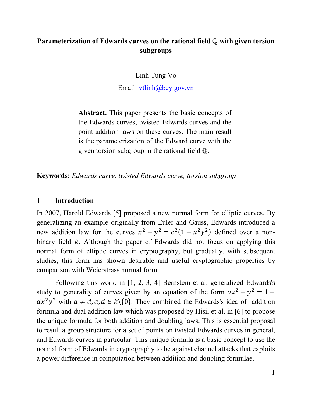# **Parameterization of Edwards curves on the rational field ℚ with given torsion subgroups**

Linh Tung Vo

Email: [vtlinh@bcy.gov.vn](mailto:vtlinh@bcy.gov.vn)

**Abstract.** This paper presents the basic concepts of the Edwards curves, twisted Edwards curves and the point addition laws on these curves. The main result is the parameterization of the Edward curve with the given torsion subgroup in the rational field ℚ.

**Keywords:** *Edwards curve, twisted Edwards curve, torsion subgroup*

#### **1 Introduction**

In 2007, Harold Edwards [5] proposed a new normal form for elliptic curves. By generalizing an example originally from Euler and Gauss, Edwards introduced a new addition law for the curves  $x^2 + y^2 = c^2(1 + x^2y^2)$  defined over a nonbinary field  $k$ . Although the paper of Edwards did not focus on applying this normal form of elliptic curves in cryptography, but gradually, with subsequent studies, this form has shown desirable and useful cryptographic properties by comparison with Weierstrass normal form.

Following this work, in [1, 2, 3, 4] Bernstein et al. generalized Edwards's study to generality of curves given by an equation of the form  $ax^2 + y^2 = 1 +$  $dx^{2}y^{2}$  with  $a \neq d, a, d \in k \setminus \{0\}$ . They combined the Edwards's idea of addition formula and dual addition law which was proposed by Hisil et al. in [6] to propose the unique formula for both addition and doubling laws. This is essential proposal to result a group structure for a set of points on twisted Edwards curves in general, and Edwards curves in particular. This unique formula is a basic concept to use the normal form of Edwards in cryptography to be against channel attacks that exploits a power difference in computation between addition and doubling formulae.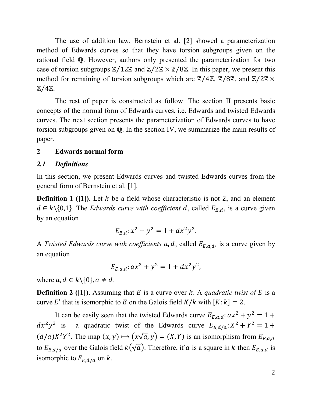The use of addition law, Bernstein et al. [2] showed a parameterization method of Edwards curves so that they have torsion subgroups given on the rational field ℚ. However, authors only presented the parameterization for two case of torsion subgroups  $\mathbb{Z}/12\mathbb{Z}$  and  $\mathbb{Z}/2\mathbb{Z} \times \mathbb{Z}/8\mathbb{Z}$ . In this paper, we present this method for remaining of torsion subgroups which are  $\mathbb{Z}/4\mathbb{Z}$ ,  $\mathbb{Z}/8\mathbb{Z}$ , and  $\mathbb{Z}/2\mathbb{Z} \times$ ℤ⁄4ℤ.

The rest of paper is constructed as follow. The section II presents basic concepts of the normal form of Edwards curves, i.e. Edwards and twisted Edwards curves. The next section presents the parameterization of Edwards curves to have torsion subgroups given on ℚ. In the section IV, we summarize the main results of paper.

# **2 Edwards normal form**

## *2.1 Definitions*

In this section, we present Edwards curves and twisted Edwards curves from the general form of Bernstein et al. [1].

**Definition 1 ([1])**. Let  $k$  be a field whose characteristic is not 2, and an element  $d \in k \setminus \{0,1\}$ . The *Edwards curve with coefficient* d, called  $E_{E,d}$ , is a curve given by an equation

$$
E_{E,d}: x^2 + y^2 = 1 + dx^2 y^2.
$$

A *Twisted Edwards curve with coefficients*  $a, d$ , called  $E_{E,a,d}$ , is a curve given by an equation

$$
E_{E,a,d}: ax^2 + y^2 = 1 + dx^2y^2,
$$

where  $a, d \in k \setminus \{0\}, a \neq d$ .

**Definition 2 ([1]).** Assuming that  $E$  is a curve over  $k$ . A *quadratic twist of*  $E$  is a curve E' that is isomorphic to E on the Galois field  $K/k$  with  $[K: k] = 2$ .

It can be easily seen that the twisted Edwards curve  $E_{E.a.d}: ax^2 + y^2 = 1 +$  $dx^2y^2$  is a quadratic twist of the Edwards curve  $E_{E,d/a}: X^2 + Y^2 = 1 +$  $(d/a)X^2Y^2$ . The map  $(x, y) \mapsto (x\sqrt{a}, y) = (X, Y)$  is an isomorphism from  $E_{E, a, d}$ to  $E_{E,d/a}$  over the Galois field  $k(\sqrt{a})$ . Therefore, if a is a square in k then  $E_{E,a,d}$  is isomorphic to  $E_{E,d/a}$  on k.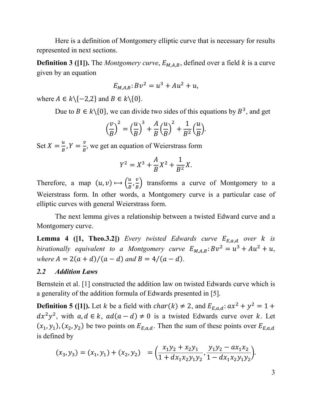Here is a definition of Montgomery elliptic curve that is necessary for results represented in next sections.

**Definition 3 ([1]).** The *Montgomery curve*,  $E_{M,A,B}$ , defined over a field  $k$  is a curve given by an equation

$$
E_{M,A,B} : Bv^2 = u^3 + Au^2 + u,
$$

where  $A \in k \setminus \{-2,2\}$  and  $B \in k \setminus \{0\}$ .

Due to  $B \in k \setminus \{0\}$ , we can divide two sides of this equations by  $B^3$ , and get

$$
\left(\frac{v}{B}\right)^2 = \left(\frac{u}{B}\right)^3 + \frac{A}{B}\left(\frac{u}{B}\right)^2 + \frac{1}{B^2}\left(\frac{u}{B}\right).
$$

Set  $X = \frac{u}{B}$ ,  $Y = \frac{v}{B}$ , we get an equation of Weierstrass form

$$
Y^2 = X^3 + \frac{A}{B}X^2 + \frac{1}{B^2}X.
$$

Therefore, a map  $(u, v) \mapsto \left(\frac{u}{B}, \frac{v}{B}\right)$  transforms a curve of Montgomery to a Weierstrass form. In other words, a Montgomery curve is a particular case of elliptic curves with general Weierstrass form.

The next lemma gives a relationship between a twisted Edward curve and a Montgomery curve.

**Lemma 4 ([1, Theo.3.2])** *Every twisted Edwards curve*  $E_{E,a,d}$  *over k is birationally equivalent to a Montgomery curve*  $E_{M,A,B}$ :  $Bv^2 = u^3 + Au^2 + u$ , *where*  $A = 2(a + d)/(a - d)$  *and*  $B = 4/(a - d)$ .

#### *2.2 Addition Laws*

Bernstein et al. [1] constructed the addition law on twisted Edwards curve which is a generality of the addition formula of Edwards presented in [5].

**Definition 5 ([1]).** Let k be a field with  $char(k) \neq 2$ , and  $E_{E,q,d}: ax^2 + y^2 = 1 +$  $dx^2y^2$ , with  $a, d \in k$ ,  $ad(a-d) \neq 0$  is a twisted Edwards curve over k. Let  $(x_1, y_1)$ ,  $(x_2, y_2)$  be two points on  $E_{E,a,d}$ . Then the sum of these points over  $E_{E,a,d}$ is defined by

$$
(x_3, y_3) = (x_1, y_1) + (x_2, y_2) = \left(\frac{x_1y_2 + x_2y_1}{1 + dx_1x_2y_1y_2}, \frac{y_1y_2 - ax_1x_2}{1 - dx_1x_2y_1y_2}\right).
$$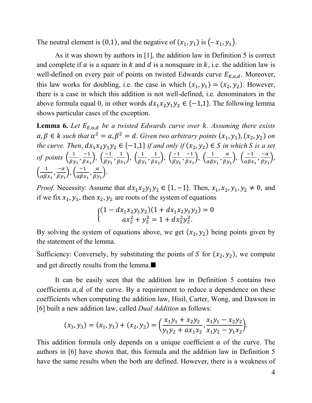The neutral element is (0,1), and the negative of  $(x_1, y_1)$  is  $(-x_1, y_1)$ .

As it was shown by authors in [1], the addition law in Definition 5 is correct and complete if  $\alpha$  is a square in  $k$  and  $d$  is a nonsquare in  $k$ , i.e. the addition law is well-defined on every pair of points on twisted Edwards curve  $E_{E,a,d}$ . Moreover, this law works for doubling, i.e. the case in which  $(x_1, y_1) = (x_2, y_2)$ . However, there is a case in which this addition is not well-defined, i.e. denominators in the above formula equal 0, in other words  $dx_1x_2y_1y_2 \in \{-1,1\}$ . The following lemma shows particular cases of the exception.

**Lemma 6.** Let  $E_{E,a,d}$  be a twisted Edwards curve over  $k$ . Assuming there exists  $\alpha, \beta \in k$  such that  $\alpha^2 = \alpha, \beta^2 = d$ . Given two arbitrary points  $(x_1, y_1), (x_2, y_2)$  on *the curve. Then,*  $dx_1x_2y_1y_2 \in \{-1,1\}$  *if and only if*  $(x_2, y_2) \in S$  *in which* S *is a set of points*  $\left(\frac{1}{\beta y_1}, \frac{-1}{\beta x_1}\right)$  $\left(\frac{-1}{\beta x_1}\right), \left(\frac{-1}{\beta y_1}, \frac{1}{\beta x_1}\right), \left(\frac{1}{\beta y_1}, \frac{1}{\beta x_1}\right), \left(\frac{-1}{\beta y_1}, \frac{-1}{\beta x_1}\right)$  $\left(\frac{-1}{\beta x_1}\right), \left(\frac{1}{\alpha \beta x_1}, \frac{\alpha}{\beta y_1}\right), \left(\frac{-1}{\alpha \beta x_1}, \frac{-\alpha}{\beta y_1}\right)$  $\frac{\overline{u}}{\beta y_1},$  $\left(\frac{1}{\alpha\beta x_1}, \frac{-\alpha}{\beta y_1}\right)$  $\frac{-\alpha}{\beta y_1}$ ,  $\left(\frac{-1}{\alpha \beta x_1}, \frac{\alpha}{\beta y_1}\right)$ .

*Proof.* Necessity: Assume that  $dx_1x_2y_1y_2 \in \{1, -1\}$ . Then,  $x_1, x_2, y_1, y_2 \neq 0$ , and if we fix  $x_1, y_1$ , then  $x_2, y_2$  are roots of the system of equations

$$
\begin{cases}\n(1 - dx_1 x_2 y_1 y_2)(1 + dx_1 x_2 y_1 y_2) = 0 \\
ax_2^2 + y_2^2 = 1 + dx_2^2 y_2^2.\n\end{cases}
$$

By solving the system of equations above, we get  $(x_2, y_2)$  being points given by the statement of the lemma.

Sufficiency: Conversely, by substituting the points of S for  $(x_2, y_2)$ , we compute and get directly results from the lemma.

It can be easily seen that the addition law in Definition 5 contains two coefficients  $a, d$  of the curve. By a requirement to reduce a dependence on these coefficients when computing the addition law, Hisil, Carter, Wong, and Dawson in [6] built a new addition law, called *Dual Addition* as follows:

$$
(x_3, y_3) = (x_1, y_1) + (x_2, y_2) = \left(\frac{x_1y_1 + x_2y_2}{y_1y_2 + ax_1x_2}, \frac{x_1y_1 - x_2y_2}{x_1y_2 - y_1x_2}\right).
$$

This addition formula only depends on a unique coefficient  $\alpha$  of the curve. The authors in [6] have shown that, this formula and the addition law in Definition 5 have the same results when the both are defined. However, there is a weakness of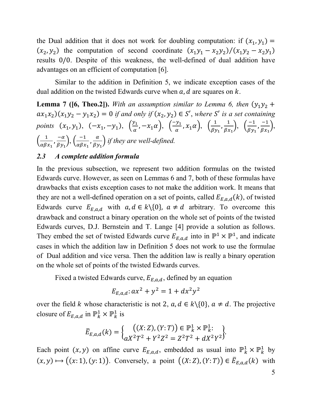the Dual addition that it does not work for doubling computation: if  $(x_1, y_1)$  =  $(x_2, y_2)$  the computation of second coordinate  $(x_1y_1 - x_2y_2)/(x_1y_2 - x_2y_1)$ results 0/0. Despite of this weakness, the well-defined of dual addition have advantages on an efficient of computation [6].

Similar to the addition in Definition 5, we indicate exception cases of the dual addition on the twisted Edwards curve when  $a$ ,  $d$  are squares on  $k$ .

**Lemma 7 ([6, Theo.2]).** *With an assumption similar to Lemma 6, then*  $(y_1y_2 +$  $(ax_1x_2)(x_1y_2 - y_1x_2) = 0$  *if and only if*  $(x_2, y_2) \in S'$ , where S' is a set containing *points*  $(x_1, y_1)$ ,  $(-x_1, -y_1)$ ,  $(\frac{y_1}{\alpha}, -x_1\alpha)$ ,  $(\frac{-y_1}{\alpha}, x_1\alpha)$ ,  $(\frac{1}{\beta y_1}, \frac{1}{\beta x_1})$ ,  $(\frac{-1}{\beta y_1}, \frac{-1}{\beta x_1})$  $\frac{1}{\beta x_1},$  $\left(\frac{1}{\alpha\beta x_1}, \frac{-\alpha}{\beta y_1}\right)$  $\frac{-\alpha}{\beta y_1}$ ,  $\left(\frac{-1}{\alpha \beta x_1}, \frac{\alpha}{\beta y_1}\right)$  if they are well-defined.

## *2.3 A complete addition formula*

In the previous subsection, we represent two addition formulas on the twisted Edwards curve. However, as seen on Lemmas 6 and 7, both of these formulas have drawbacks that exists exception cases to not make the addition work. It means that they are not a well-defined operation on a set of points, called  $E_{E,a,d}(k)$ , of twisted Edwards curve  $E_{E,a,d}$  with  $a, d \in k \setminus \{0\}$ ,  $a \neq d$  arbitrary. To overcome this drawback and construct a binary operation on the whole set of points of the twisted Edwards curves, D.J. Bernstein and T. Lange [4] provide a solution as follows. They embed the set of twisted Edwards curve  $E_{E,a,d}$  into in  $\mathbb{P}^1 \times \mathbb{P}^1$ , and indicate cases in which the addition law in Definition 5 does not work to use the formulae of Dual addition and vice versa. Then the addition law is really a binary operation on the whole set of points of the twisted Edwards curves.

Fixed a twisted Edwards curve,  $E_{E,a,d}$ , defined by an equation

$$
E_{E,a,d}: ax^2 + y^2 = 1 + dx^2y^2
$$

over the field k whose characteristic is not 2,  $a, d \in k \setminus \{0\}$ ,  $a \neq d$ . The projective closure of  $E_{E,a,d}$  in  $\mathbb{P}^1_k \times \mathbb{P}^1_k$  is

$$
\bar{E}_{E,a,d}(k) = \begin{cases} ((X:Z),(Y:T)) \in \mathbb{P}_k^1 \times \mathbb{P}_k^1: \\ ax^2T^2 + Y^2Z^2 = Z^2T^2 + dX^2Y^2 \end{cases}
$$

Each point  $(x, y)$  on affine curve  $E_{E,a,d}$ , embedded as usual into  $\mathbb{P}_k^1 \times \mathbb{P}_k^1$  by  $(x, y) \mapsto ((x: 1), (y: 1))$ . Conversely, a point  $((X: Z), (Y: T)) \in \overline{E}_{E,a,d}(k)$  with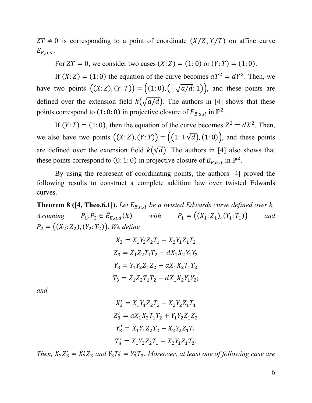$ZT \neq 0$  is corresponding to a point of coordinate  $(X/Z, Y/T)$  on affine curve  $E_{E.a.d.}$ 

For  $ZT = 0$ , we consider two cases  $(X: Z) = (1: 0)$  or  $(Y: T) = (1: 0)$ .

If  $(X: Z) = (1: 0)$  the equation of the curve becomes  $aT^2 = dY^2$ . Then, we have two points  $((X:Z), (Y:T)) = ((1: 0), (\pm \sqrt{a/d}: 1)),$  and these points are defined over the extension field  $k(\sqrt{a/d})$ . The authors in [4] shows that these points correspond to (1: 0: 0) in projective closure of  $E_{E,a,d}$  in  $\mathbb{P}^2$ .

If  $(Y: T) = (1: 0)$ , then the equation of the curve becomes  $Z^2 = dX^2$ . Then, we also have two points  $((X:Z), (Y:T)) = ((1:\pm \sqrt{d}), (1:0))$ , and these points are defined over the extension field  $k(\sqrt{d})$ . The authors in [4] also shows that these points correspond to (0: 1: 0) in projective closure of  $E_{E,a,d}$  in  $\mathbb{P}^2$ .

By using the represent of coordinating points, the authors [4] proved the following results to construct a complete addition law over twisted Edwards curves.

**Theorem 8 ([4, Theo.6.1]).** *Let*  $E_{E,a,d}$  *be a twisted Edwards curve defined over k. Assuming*  $P_1, P_2 \in \overline{E}_{E,a,d}(k)$  *with*  $P_1 = ((X_1 : Z_1), (Y_1 : T_1))$  *and*  $P_2 = ((X_2: Z_2), (Y_2: T_2))$ . We define

$$
X_3 = X_1 Y_2 Z_2 T_1 + X_2 Y_1 Z_1 T_2
$$
  
\n
$$
Z_3 = Z_1 Z_2 T_1 T_2 + dX_1 X_2 Y_1 Y_2
$$
  
\n
$$
Y_3 = Y_1 Y_2 Z_1 Z_2 - aX_1 X_2 T_1 T_2
$$
  
\n
$$
T_3 = Z_1 Z_2 T_1 T_2 - dX_1 X_2 Y_1 Y_2;
$$

*and* 

$$
X'_3 = X_1 Y_1 Z_2 T_2 + X_2 Y_2 Z_1 T_1
$$
  
\n
$$
Z'_3 = aX_1 X_2 T_1 T_2 + Y_1 Y_2 Z_1 Z_2
$$
  
\n
$$
Y'_3 = X_1 Y_1 Z_2 T_2 - X_2 Y_2 Z_1 T_1
$$
  
\n
$$
T'_3 = X_1 Y_2 Z_2 T_1 - X_2 Y_1 Z_1 T_2.
$$

*Then,*  $X_3 Z_3' = X_3' Z_3$  and  $Y_3 T_3' = Y_3' T_3$ . Moreover, at least one of following case are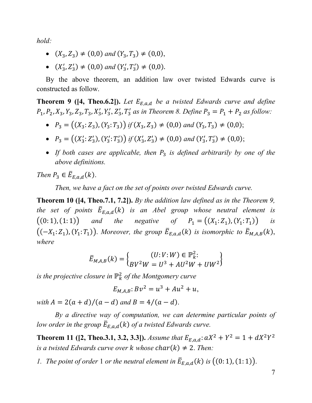*hold:*

- $(X_3, Z_3) \neq (0, 0)$  *and*  $(Y_3, T_3) \neq (0, 0)$ ,
- $(X'_3, Z'_3) \neq (0,0)$  and  $(Y'_3, T'_3) \neq (0,0)$ .

By the above theorem, an addition law over twisted Edwards curve is constructed as follow.

**Theorem 9 ([4, Theo.6.2]).** *Let*  $E_{E,a,d}$  *be a twisted Edwards curve and define*  $P_1, P_2, X_3, Y_3, Z_3, T_3, X'_3, Y'_3, Z'_3, T'_3$  as in Theorem 8. Define  $P_3 = P_1 + P_2$  as follow:

- $P_3 = ((X_3: Z_3), (Y_3: T_3))$  *if*  $(X_3, Z_3) \neq (0,0)$  *and*  $(Y_3, T_3) \neq (0,0)$ ;
- $P_3 = ((X'_3: Z'_3), (Y'_3: T'_3))$  if  $(X'_3, Z'_3) \neq (0,0)$  and  $(Y'_3, T'_3) \neq (0,0)$ ;
- If both cases are applicable, then  $P_3$  is defined arbitrarily by one of the *above definitions.*

*Then*  $P_3 \in \overline{E}_{E,a,d}(k)$ .

*Then, we have a fact on the set of points over twisted Edwards curve.*

**Theorem 10 ([4, Theo.7.1, 7.2]).** *By the addition law defined as in the Theorem 9, the set of points*  $\overline{E}_{E,a,d}(k)$  *is an Abel group whose neutral element is*  $((0: 1), (1: 1))$  *and the negative of*  $P_1 = ((X_1: Z_1), (Y_1: T_1))$  *is*  $((-X_1:Z_1), (Y_1:T_1))$ . *Moreover, the group*  $\overline{E}_{E,a,d}(k)$  *is isomorphic to*  $\overline{E}_{M,A,B}(k)$ , *where*

$$
\bar{E}_{M,A,B}(k) = \begin{cases} (U:V:W) \in \mathbb{P}_{k}^{2}: \\ BV^{2}W = U^{3} + AU^{2}W + UW^{2} \end{cases}
$$

*is the projective closure in* ℙ *of the Montgomery curve*

$$
E_{M,A,B} : Bv^2 = u^3 + Au^2 + u,
$$

*with*  $A = 2(a + d)/(a - d)$  *and*  $B = 4/(a - d)$ .

*By a directive way of computation, we can determine particular points of low order in the group*  $\overline{E}_{E,a,d}(k)$  *of a twisted Edwards curve.* 

**Theorem 11 ([2, Theo.3.1, 3.2, 3.3]).** *Assume that*  $E_{E,a,d}: aX^2 + Y^2 = 1 + dX^2Y^2$ *is a twisted Edwards curve over*  $k$  whose  $char(k) \neq 2$ . *Then:* 

*1. The point of order* 1 *or the neutral element in*  $\overline{E}_{E,a,d}(k)$  *is*  $((0:1),(1:1))$ .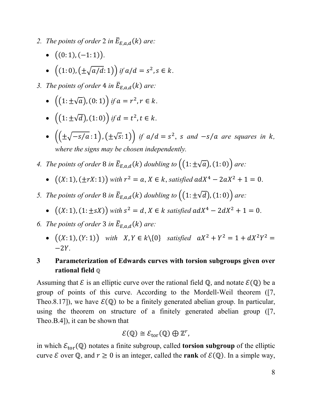- 2. *The points of order* 2 *in*  $\overline{E}_{E,a,d}(k)$  *are:* 
	- $\bullet$   $((0: 1), (-1: 1)).$
	- $((1: 0), (\pm \sqrt{a/d}: 1))$  *if*  $a/d = s^2, s \in k$ .
- *3. The points of order* 4 *in*  $\overline{E}_{E,a,d}(k)$  *are:* 
	- $((1: \pm \sqrt{a}), (0: 1))$  *if*  $a = r^2, r \in k$ .
	- $((1: \pm \sqrt{d}), (1: 0))$  *if*  $d = t^2, t \in k$ .
	- $\bullet$   $\left(\left(\pm\sqrt{-s/a}:1\right), \left(\pm\sqrt{s}:1\right)\right)$  *if*  $a/d = s^2$ , *s* and  $-s/a$  are squares in *k*, *where the signs may be chosen independently.*
- *4. The points of order* 8 *in*  $\overline{E}_{E,a,d}(k)$  *doubling to*  $((1:\pm\sqrt{a}), (1:0))$  *are:* 
	- $((X: 1), (\pm rX: 1))$  *with*  $r^2 = a, X \in k$ , *satisfied*  $adX^4 2aX^2 + 1 = 0$ .
- *5. The points of order* 8 *in*  $\overline{E}_{E,a,d}(k)$  *doubling to*  $((1:\pm \sqrt{d}),(1:0))$  *are:* 
	- $((X: 1), (1: \pm sX))$  *with*  $s^2 = d$ ,  $X \in k$  *satisfied*  $adX^4 2dX^2 + 1 = 0$ .
- 6. *The points of order* 3 *in*  $\overline{E}_{E,a,d}(k)$  *are:* 
	- $((X: 1), (Y: 1))$  *with*  $X, Y \in k \setminus \{0\}$  *satisfied*  $aX^2 + Y^2 = 1 + dX^2Y^2 =$  $-2Y$ .

# **3 Parameterization of Edwards curves with torsion subgroups given over rational field** ℚ

Assuming that  $\mathcal E$  is an elliptic curve over the rational field  $\mathbb Q$ , and notate  $\mathcal E(\mathbb Q)$  be a group of points of this curve. According to the Mordell-Weil theorem ([7, Theo.8.17]), we have  $\mathcal{E}(\mathbb{Q})$  to be a finitely generated abelian group. In particular, using the theorem on structure of a finitely generated abelian group ([7, Theo.B.4]), it can be shown that

$$
\mathcal{E}(\mathbb{Q}) \cong \mathcal{E}_{\text{tor}}(\mathbb{Q}) \oplus \mathbb{Z}^r,
$$

in which  $\mathcal{E}_{tor}(\mathbb{Q})$  notates a finite subgroup, called **torsion subgroup** of the elliptic curve  $\mathcal E$  over  $\mathbb Q$ , and  $r \geq 0$  is an integer, called the **rank** of  $\mathcal E(\mathbb Q)$ . In a simple way,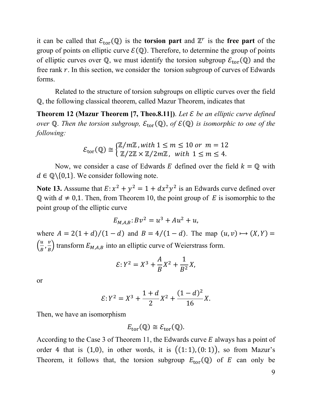it can be called that  $\mathcal{E}_{tor}(\mathbb{Q})$  is the **torsion part** and  $\mathbb{Z}^r$  is the **free part** of the group of points on elliptic curve  $\mathcal{E}(\mathbb{Q})$ . Therefore, to determine the group of points of elliptic curves over Q, we must identify the torsion subgroup  $\mathcal{E}_{\text{tor}}(\mathbb{Q})$  and the free rank  $r$ . In this section, we consider the torsion subgroup of curves of Edwards forms.

Related to the structure of torsion subgroups on elliptic curves over the field ℚ, the following classical theorem, called Mazur Theorem, indicates that

**Theorem 12 (Mazur Theorem [7, Theo.8.11])**. *Let*  $\mathcal{E}$  *be an elliptic curve defined over*  $\mathbb Q$ . *Then the torsion subgroup,*  $\mathcal{E}_{tor}(\mathbb Q)$ *, of*  $\mathcal{E}(\mathbb Q)$  *is isomorphic to one of the following:*

$$
\mathcal{E}_{\text{tor}}(\mathbb{Q}) \cong \begin{cases} \mathbb{Z}/m\mathbb{Z}, \text{with } 1 \leq m \leq 10 \text{ or } m = 12\\ \mathbb{Z}/2\mathbb{Z} \times \mathbb{Z}/2m\mathbb{Z}, \text{ with } 1 \leq m \leq 4. \end{cases}
$$

Now, we consider a case of Edwards E defined over the field  $k = \mathbb{Q}$  with  $d \in \mathbb{Q} \setminus \{0,1\}$ . We consider following note.

**Note 13.** Asssume that  $E: x^2 + y^2 = 1 + dx^2y^2$  is an Edwards curve defined over  $\mathbb Q$  with  $d \neq 0,1$ . Then, from Theorem 10, the point group of E is isomorphic to the point group of the elliptic curve

$$
E_{M,A,B} : Bv^2 = u^3 + Au^2 + u,
$$

where  $A = 2(1 + d)/(1 - d)$  and  $B = 4/(1 - d)$ . The map  $(u, v) \mapsto (X, Y) =$  $\left(\frac{u}{B}, \frac{v}{B}\right)$  transform  $E_{M, A, B}$  into an elliptic curve of Weierstrass form.

$$
\mathcal{E}: Y^2 = X^3 + \frac{A}{B}X^2 + \frac{1}{B^2}X,
$$

or

$$
\mathcal{E}: Y^2 = X^3 + \frac{1+d}{2}X^2 + \frac{(1-d)^2}{16}X.
$$

Then, we have an isomorphism

$$
E_{\text{tor}}(\mathbb{Q}) \cong \mathcal{E}_{\text{tor}}(\mathbb{Q}).
$$

According to the Case 3 of Theorem 11, the Edwards curve  $E$  always has a point of order 4 that is  $(1,0)$ , in other words, it is  $((1: 1), (0: 1))$ , so from Mazur's Theorem, it follows that, the torsion subgroup  $E_{\text{tor}}(\mathbb{Q})$  of E can only be

9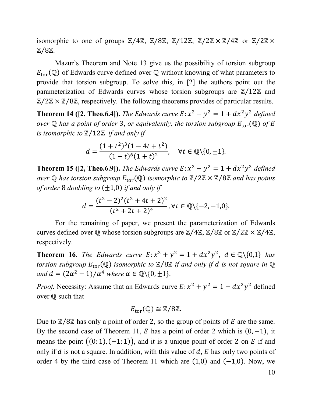isomorphic to one of groups  $\mathbb{Z}/4\mathbb{Z}$ ,  $\mathbb{Z}/8\mathbb{Z}$ ,  $\mathbb{Z}/12\mathbb{Z}$ ,  $\mathbb{Z}/2\mathbb{Z} \times \mathbb{Z}/4\mathbb{Z}$  or  $\mathbb{Z}/2\mathbb{Z} \times$ ℤ⁄8ℤ.

Mazur's Theorem and Note 13 give us the possibility of torsion subgroup  $E_{\text{tor}}(\mathbb{Q})$  of Edwards curve defined over  $\mathbb Q$  without knowing of what parameters to provide that torsion subgroup. To solve this, in [2] the authors point out the parameterization of Edwards curves whose torsion subgroups are  $\mathbb{Z}/12\mathbb{Z}$  and  $\mathbb{Z}/2\mathbb{Z} \times \mathbb{Z}/8\mathbb{Z}$ , respectively. The following theorems provides of particular results.

**Theorem 14 ([2, Theo.6.4]).** *The Edwards curve*  $E: x^2 + y^2 = 1 + dx^2y^2$  *defined over*  $\mathbb Q$  *has a point of order* 3, *or equivalently, the torsion subgroup*  $E_{\text{tor}}(\mathbb Q)$  *of* E *is isomorphic to* ℤ⁄12ℤ *if and only if*

$$
d = \frac{(1+t^2)^3(1-4t+t^2)}{(1-t)^6(1+t)^2}, \quad \forall t \in \mathbb{Q}\setminus\{0,\pm 1\}.
$$

**Theorem 15 ([2, Theo.6.9]).** *The Edwards curve*  $E: x^2 + y^2 = 1 + dx^2y^2$  *defined over*  $\mathbb{Q}$  *has torsion subgroup*  $E_{\text{tor}}(\mathbb{Q})$  *isomorphic to*  $\mathbb{Z}/2\mathbb{Z} \times \mathbb{Z}/8\mathbb{Z}$  *and has points of order* 8 *doubling to* (±1,0) *if and only if*

$$
d = \frac{(t^2 - 2)^2(t^2 + 4t + 2)^2}{(t^2 + 2t + 2)^4}, \forall t \in \mathbb{Q} \setminus \{-2, -1, 0\}.
$$

For the remaining of paper, we present the parameterization of Edwards curves defined over  $\mathbb Q$  whose torsion subgroups are  $\mathbb Z/4\mathbb Z$ ,  $\mathbb Z/8\mathbb Z$  or  $\mathbb Z/2\mathbb Z \times \mathbb Z/4\mathbb Z$ , respectively.

**Theorem 16.** *The Edwards curve*  $E: x^2 + y^2 = 1 + dx^2y^2$ ,  $d \in \mathbb{Q}\{0,1\}$  *has torsion subgroup*  $E_{tor}(\mathbb{Q})$  *isomorphic to*  $\mathbb{Z}/8\mathbb{Z}$  *if and only if d is not square in*  $\mathbb{Q}$ *and*  $d = (2\alpha^2 - 1)/\alpha^4$  *where*  $\alpha \in \mathbb{Q}\setminus\{0, \pm 1\}$ .

*Proof.* Necessity: Assume that an Edwards curve  $E: x^2 + y^2 = 1 + dx^2y^2$  defined over ℚ such that

$$
E_{\text{tor}}(\mathbb{Q}) \cong \mathbb{Z}/8\mathbb{Z}.
$$

Due to  $\mathbb{Z}/8\mathbb{Z}$  has only a point of order 2, so the group of points of E are the same. By the second case of Theorem 11,  $E$  has a point of order 2 which is  $(0, -1)$ , it means the point  $((0: 1), (-1: 1))$ , and it is a unique point of order 2 on E if and only if  $d$  is not a square. In addition, with this value of  $d$ ,  $E$  has only two points of order 4 by the third case of Theorem 11 which are  $(1,0)$  and  $(-1,0)$ . Now, we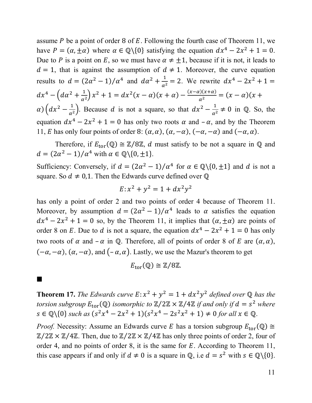assume  $P$  be a point of order 8 of  $E$ . Following the fourth case of Theorem 11, we have  $P = (\alpha, \pm \alpha)$  where  $\alpha \in \mathbb{Q}\backslash\{0\}$  satisfying the equation  $dx^4 - 2x^2 + 1 = 0$ . Due to P is a point on E, so we must have  $\alpha \neq \pm 1$ , because if it is not, it leads to  $d = 1$ , that is against the assumption of  $d \neq 1$ . Moreover, the curve equation results to  $d = (2\alpha^2 - 1)/\alpha^4$  and  $d\alpha^2 + \frac{1}{\alpha^2} = 2$ . We rewrite  $dx^4 - 2x^2 + 1 =$  $dx^4 - \left( d\alpha^2 + \frac{1}{\alpha^2} \right) x^2 + 1 = dx^2(x - \alpha)(x + \alpha) - \frac{(x - \alpha)(x + \alpha)}{\alpha^2} = (x - \alpha)(x + \alpha)$  $\alpha$ )  $\left(dx^2 - \frac{1}{\alpha^2}\right)$ . Because d is not a square, so that  $dx^2 - \frac{1}{\alpha^2} \neq 0$  in Q. So, the equation  $dx^4 - 2x^2 + 1 = 0$  has only two roots  $\alpha$  and  $-\alpha$ , and by the Theorem 11, *E* has only four points of order 8:  $(\alpha, \alpha)$ ,  $(\alpha, -\alpha)$ ,  $(-\alpha, -\alpha)$  and  $(-\alpha, \alpha)$ .

Therefore, if  $E_{tor}(\mathbb{Q}) \cong \mathbb{Z}/8\mathbb{Z}$ , d must satisfy to be not a square in  $\mathbb{Q}$  and  $d = (2\alpha^2 - 1)/\alpha^4$  with  $\alpha \in \mathbb{Q}\setminus\{0, \pm 1\}.$ 

Sufficiency: Conversely, if  $d = (2\alpha^2 - 1)/\alpha^4$  for  $\alpha \in \mathbb{Q}\setminus\{0, \pm 1\}$  and d is not a square. So  $d \neq 0,1$ . Then the Edwards curve defined over  $\mathbb{Q}$ 

$$
E: x^2 + y^2 = 1 + dx^2 y^2
$$

has only a point of order 2 and two points of order 4 because of Theorem 11. Moreover, by assumption  $d = (2\alpha^2 - 1)/\alpha^4$  leads to  $\alpha$  satisfies the equation  $dx^4 - 2x^2 + 1 = 0$  so, by the Theorem 11, it implies that  $(\alpha, \pm \alpha)$  are points of order 8 on E. Due to d is not a square, the equation  $dx^4 - 2x^2 + 1 = 0$  has only two roots of  $\alpha$  and  $-\alpha$  in Q. Therefore, all of points of order 8 of E are  $(\alpha, \alpha)$ ,  $(-\alpha, -\alpha)$ ,  $(\alpha, -\alpha)$ , and  $(-\alpha, \alpha)$ . Lastly, we use the Mazur's theorem to get

$$
E_{\text{tor}}(\mathbb{Q}) \cong \mathbb{Z}/8\mathbb{Z}.
$$

**Theorem 17.** *The Edwards curve*  $E: x^2 + y^2 = 1 + dx^2y^2$  *defined over*  $\mathbb Q$  *has the torsion subgroup*  $E_{\text{tor}}(\mathbb{Q})$  *isomorphic to*  $\mathbb{Z}/2\mathbb{Z} \times \mathbb{Z}/4\mathbb{Z}$  *if and only if*  $d = s^2$  *where*  $s \in \mathbb{Q} \setminus \{0\}$  *such as*  $(s^2x^4 - 2x^2 + 1)(s^2x^4 - 2s^2x^2 + 1) \neq 0$  *for all*  $x \in \mathbb{Q}$ .

*Proof.* Necessity: Assume an Edwards curve *E* has a torsion subgroup  $E_{\text{tor}}(\mathbb{Q}) \cong$  $\mathbb{Z}/2\mathbb{Z} \times \mathbb{Z}/4\mathbb{Z}$ . Then, due to  $\mathbb{Z}/2\mathbb{Z} \times \mathbb{Z}/4\mathbb{Z}$  has only three points of order 2, four of order 4, and no points of order 8, it is the same for  $E$ . According to Theorem 11, this case appears if and only if  $d \neq 0$  is a square in  $\mathbb{Q}$ , i.e  $d = s^2$  with  $s \in \mathbb{Q}\backslash\{0\}$ .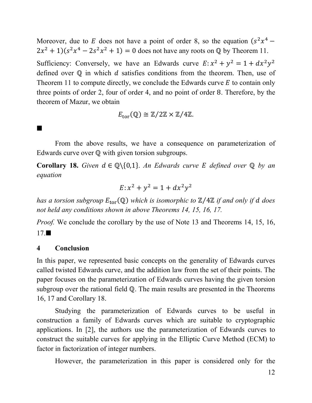Moreover, due to E does not have a point of order 8, so the equation  $(s^2x^4 2x^{2} + 1$ )( $s^{2}x^{4} - 2s^{2}x^{2} + 1$ ) = 0 does not have any roots on Q by Theorem 11. Sufficiency: Conversely, we have an Edwards curve  $E: x^2 + y^2 = 1 + dx^2y^2$ defined over  $\mathbb Q$  in which  $d$  satisfies conditions from the theorem. Then, use of Theorem 11 to compute directly, we conclude the Edwards curve  $E$  to contain only three points of order 2, four of order 4, and no point of order 8. Therefore, by the theorem of Mazur, we obtain

$$
E_{\text{tor}}(\mathbb{Q}) \cong \mathbb{Z}/2\mathbb{Z} \times \mathbb{Z}/4\mathbb{Z}.
$$

From the above results, we have a consequence on parameterization of Edwards curve over  $Q$  with given torsion subgroups.

**Corollary 18.** *Given*  $d \in \mathbb{Q} \setminus \{0,1\}$ . *An Edwards curve E defined over*  $\mathbb{Q}$  *by an equation*

$$
E: x^2 + y^2 = 1 + dx^2 y^2
$$

*has a torsion subgroup*  $E_{tor}$  (ℚ) *which is isomorphic to* **ℤ**/4ℤ *if and only if d does not held any conditions shown in above Theorems 14, 15, 16, 17.*

*Proof.* We conclude the corollary by the use of Note 13 and Theorems 14, 15, 16,  $17.$ 

### **4 Conclusion**

 $\blacksquare$ 

In this paper, we represented basic concepts on the generality of Edwards curves called twisted Edwards curve, and the addition law from the set of their points. The paper focuses on the parameterization of Edwards curves having the given torsion subgroup over the rational field Q. The main results are presented in the Theorems 16, 17 and Corollary 18.

Studying the parameterization of Edwards curves to be useful in construction a family of Edwards curves which are suitable to cryptographic applications. In [2], the authors use the parameterization of Edwards curves to construct the suitable curves for applying in the Elliptic Curve Method (ECM) to factor in factorization of integer numbers.

However, the parameterization in this paper is considered only for the